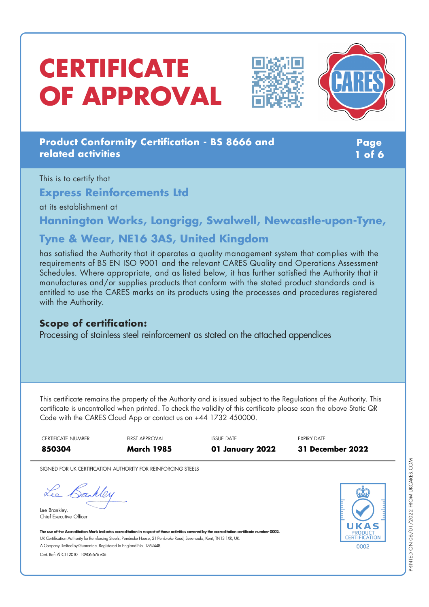# **CERTIFICATE OF APPROVAL**





## **Product Conformity Certification - BS 8666 and related activities**

**Page 1 of 6**

This is to certify that **Express Reinforcements Ltd** at its establishment at

**Hannington Works, Longrigg, Swalwell, Newcastle-upon-Tyne,**

# **Tyne & Wear, NE16 3AS, United Kingdom**

has satisfied the Authority that it operates a quality management system that complies with the requirements of BS EN ISO 9001 and the relevant CARES Quality and Operations Assessment Schedules. Where appropriate, and as listed below, it has further satisfied the Authority that it manufactures and/or supplies products that conform with the stated product standards and is entitled to use the CARES marks on its products using the processes and procedures registered with the Authority.

## **Scope of certification:**

Processing of stainless steel reinforcement as stated on the attached appendices

This certificate remains the property of the Authority and is issued subject to the Regulations of the Authority. This certificate is uncontrolled when printed. To check the validity of this certificate please scan the above Static QR Code with the CARES Cloud App or contact us on +44 1732 450000.

CERTIFICATE NUMBER FIRST APPROVAL ISSUE DATE EXPIRY DATE **850304 March 1985 01 January 2022 31 December 2022**

SIGNED FOR UK CERTIFICATION AUTHORITY FOR REINFORCING STEELS

Lee Bankley

Lee Brankley, Chief Executive Officer



The use of the Accreditation Mark indicates accreditation in respect of those activities covered by the accreditation certificate number 0002. UK Certification Authority for Reinforcing Steels, Pembroke House, 21 Pembroke Road, Sevenoaks, Kent, TN13 1XR, UK. A CompanyLimited byGuarantee. Registered in England No. 1762448.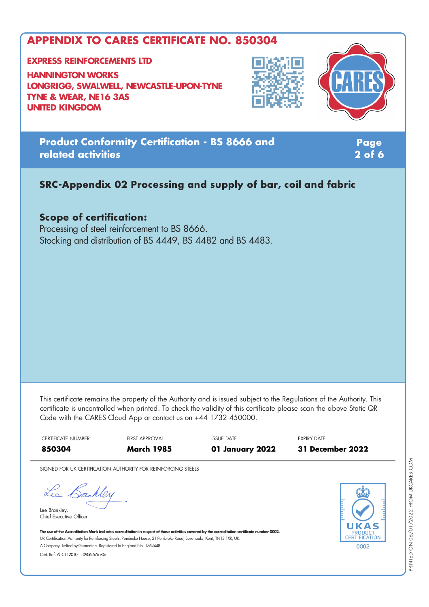#### **EXPRESS REINFORCEMENTS LTD**

**HANNINGTON WORKS LONGRIGG, SWALWELL, NEWCASTLE-UPON-TYNE TYNE & WEAR, NE16 3AS UNITED KINGDOM**



**Product Conformity Certification - BS 8666 and related activities**

**Page 2 of 6**

## **SRC-Appendix 02 Processing and supply of bar, coil and fabric**

## **Scope of certification:**

Processing of steel reinforcement to BS 8666. Stocking and distribution of BS 4449, BS 4482 and BS 4483.

This certificate remains the property of the Authority and is issued subject to the Regulations of the Authority. This certificate is uncontrolled when printed. To check the validity of this certificate please scan the above Static QR Code with the CARES Cloud App or contact us on +44 1732 450000.



SIGNED FOR UK CERTIFICATION AUTHORITY FOR REINFORCING STEELS

Lee Bankley

Lee Brankley, Chief Executive Officer 0002

The use of the Accreditation Mark indicates accreditation in respect of those activities covered by the accreditation certificate number 0002. UK Certification Authority for Reinforcing Steels, Pembroke House, 21 Pembroke Road, Sevenoaks, Kent, TN13 1XR, UK. A CompanyLimited byGuarantee. Registered in England No. 1762448.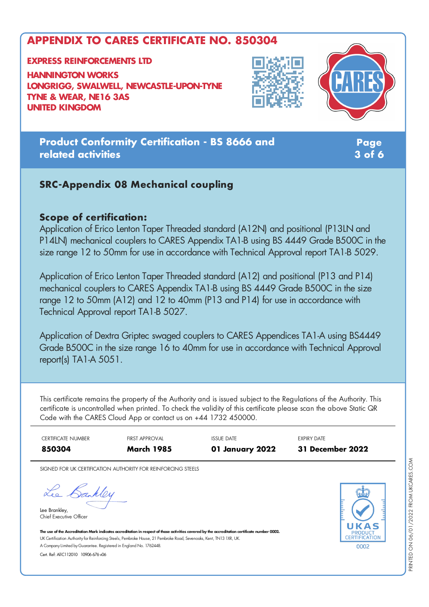#### **EXPRESS REINFORCEMENTS LTD**

**HANNINGTON WORKS LONGRIGG, SWALWELL, NEWCASTLE-UPON-TYNE TYNE & WEAR, NE16 3AS UNITED KINGDOM**





## **Product Conformity Certification - BS 8666 and related activities**

**Page 3 of 6**

## **SRC-Appendix 08 Mechanical coupling**

## **Scope of certification:**

Application of Erico Lenton Taper Threaded standard (A12N) and positional (P13LN and P14LN) mechanical couplers to CARES Appendix TA1-B using BS 4449 Grade B500C in the size range 12 to 50mm for use in accordance with Technical Approval report TA1-B 5029.

Application of Erico Lenton Taper Threaded standard (A12) and positional (P13 and P14) mechanical couplers to CARES Appendix TA1-B using BS 4449 Grade B500C in the size range 12 to 50mm (A12) and 12 to 40mm (P13 and P14) for use in accordance with Technical Approval report TA1-B 5027.

Application of Dextra Griptec swaged couplers to CARES Appendices TA1-A using BS4449 Grade B500C in the size range 16 to 40mm for use in accordance with Technical Approval report(s) TA1-A 5051.

This certificate remains the property of the Authority and is issued subject to the Regulations of the Authority. This certificate is uncontrolled when printed. To check the validity of this certificate please scan the above Static QR Code with the CARES Cloud App or contact us on +44 1732 450000.

| <b>CERTIFICATE NUMBER</b> | <b>FIRST APPROVAL</b> | <b>ISSUE DATE</b> | <b>EXPIRY DATE</b> |
|---------------------------|-----------------------|-------------------|--------------------|
| 850304                    | <b>March 1985</b>     | 01 January 2022   | 31 December 2022   |

SIGNED FOR UK CERTIFICATION AUTHORITY FOR REINFORCING STEELS

Lee Bankley

Lee Brankley, Chief Executive Officer



The use of the Accreditation Mark indicates accreditation in respect of those activities covered by the accreditation certificate number 0002. UK Certification Authority for Reinforcing Steels, Pembroke House, 21 Pembroke Road, Sevenoaks, Kent, TN13 1XR, UK. A CompanyLimited byGuarantee. Registered in England No. 1762448.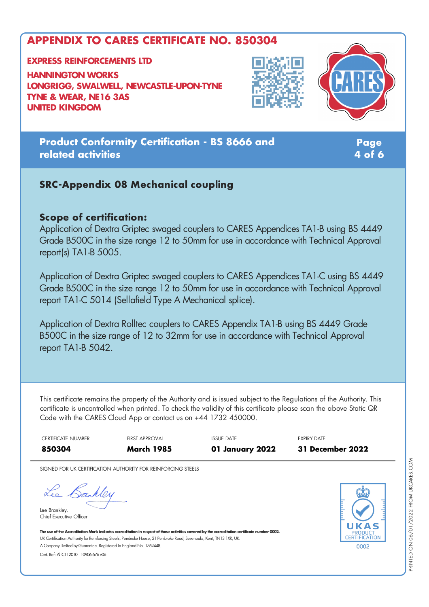#### **EXPRESS REINFORCEMENTS LTD**

**HANNINGTON WORKS LONGRIGG, SWALWELL, NEWCASTLE-UPON-TYNE TYNE & WEAR, NE16 3AS UNITED KINGDOM**





## **Product Conformity Certification - BS 8666 and related activities**

**Page 4 of 6**

## **SRC-Appendix 08 Mechanical coupling**

## **Scope of certification:**

Application of Dextra Griptec swaged couplers to CARES Appendices TA1-B using BS 4449 Grade B500C in the size range 12 to 50mm for use in accordance with Technical Approval report(s) TA1-B 5005.

Application of Dextra Griptec swaged couplers to CARES Appendices TA1-C using BS 4449 Grade B500C in the size range 12 to 50mm for use in accordance with Technical Approval report TA1-C 5014 (Sellafield Type A Mechanical splice).

Application of Dextra Rolltec couplers to CARES Appendix TA1-B using BS 4449 Grade B500C in the size range of 12 to 32mm for use in accordance with Technical Approval report TA1-B 5042.

This certificate remains the property of the Authority and is issued subject to the Regulations of the Authority. This certificate is uncontrolled when printed. To check the validity of this certificate please scan the above Static QR Code with the CARES Cloud App or contact us on +44 1732 450000.

| CERTIFICATE NUMBER | <b>FIRST APPROVAL</b> | ISSUE DATE      | EXPIRY DATE             |
|--------------------|-----------------------|-----------------|-------------------------|
| 850304             | <b>March 1985</b>     | 01 January 2022 | <b>31 December 2022</b> |

SIGNED FOR UK CERTIFICATION AUTHORITY FOR REINFORCING STEELS

Lee Bankley

Lee Brankley, Chief Executive Officer



The use of the Accreditation Mark indicates accreditation in respect of those activities covered by the accreditation certificate number 0002. UK Certification Authority for Reinforcing Steels, Pembroke House, 21 Pembroke Road, Sevenoaks, Kent, TN13 1XR, UK. A CompanyLimited byGuarantee. Registered in England No. 1762448.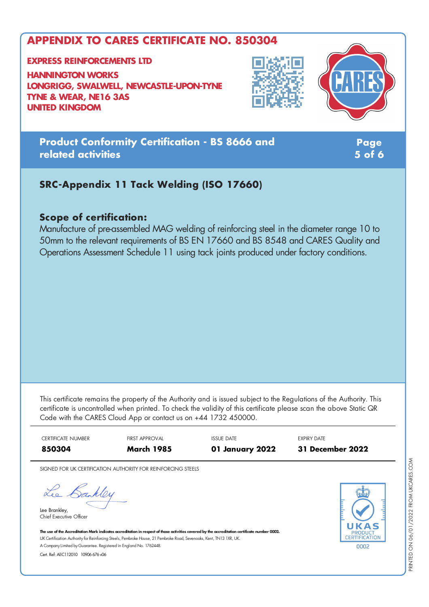#### **EXPRESS REINFORCEMENTS LTD**

**HANNINGTON WORKS LONGRIGG, SWALWELL, NEWCASTLE-UPON-TYNE TYNE & WEAR, NE16 3AS UNITED KINGDOM**





**Product Conformity Certification - BS 8666 and related activities**

**Page 5 of 6**

## **SRC-Appendix 11 Tack Welding (ISO 17660)**

## **Scope of certification:**

Manufacture of pre-assembled MAG welding of reinforcing steel in the diameter range 10 to 50mm to the relevant requirements of BS EN 17660 and BS 8548 and CARES Quality and Operations Assessment Schedule 11 using tack joints produced under factory conditions.

This certificate remains the property of the Authority and is issued subject to the Regulations of the Authority. This certificate is uncontrolled when printed. To check the validity of this certificate please scan the above Static QR Code with the CARES Cloud App or contact us on +44 1732 450000.